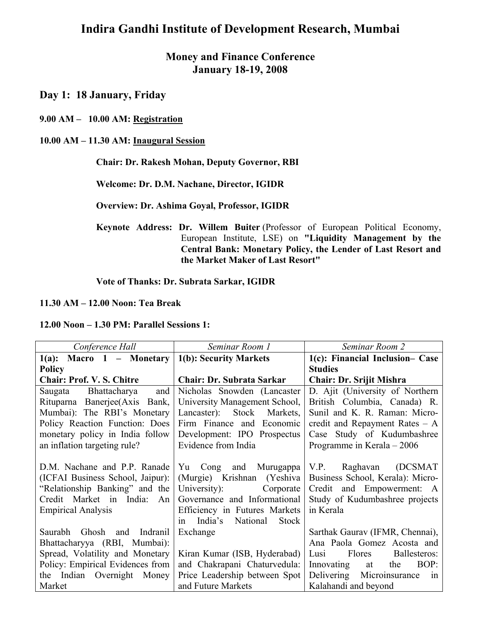# **Indira Gandhi Institute of Development Research, Mumbai**

## **Money and Finance Conference January 18-19, 2008**

**Day 1: 18 January, Friday** 

**9.00 AM – 10.00 AM: Registration**

#### **10.00 AM – 11.30 AM: Inaugural Session**

#### **Chair: Dr. Rakesh Mohan, Deputy Governor, RBI**

 **Welcome: Dr. D.M. Nachane, Director, IGIDR** 

 **Overview: Dr. Ashima Goyal, Professor, IGIDR** 

**Keynote Address: Dr. Willem Buiter** (Professor of European Political Economy, European Institute, LSE) on **"Liquidity Management by the Central Bank: Monetary Policy, the Lender of Last Resort and the Market Maker of Last Resort"** 

 **Vote of Thanks: Dr. Subrata Sarkar, IGIDR** 

#### **11.30 AM – 12.00 Noon: Tea Break**

**12.00 Noon – 1.30 PM: Parallel Sessions 1:** 

| Conference Hall                                        | Seminar Room 1                            | Seminar Room 2                   |
|--------------------------------------------------------|-------------------------------------------|----------------------------------|
| $1(a)$ : Macro $1$ – Monetary   1(b): Security Markets |                                           | 1(c): Financial Inclusion– Case  |
| <b>Policy</b>                                          |                                           | <b>Studies</b>                   |
| <b>Chair: Prof. V. S. Chitre</b>                       | <b>Chair: Dr. Subrata Sarkar</b>          | <b>Chair: Dr. Srijit Mishra</b>  |
| and<br>Bhattacharya<br>Saugata                         | Nicholas Snowden (Lancaster)              | D. Ajit (University of Northern  |
| Rituparna Banerjee(Axis Bank,                          | University Management School,             | British Columbia, Canada) R.     |
| Mumbai): The RBI's Monetary                            | Lancaster): Stock Markets,                | Sunil and K. R. Raman: Micro-    |
| Policy Reaction Function: Does                         | Firm Finance and Economic                 | credit and Repayment Rates $- A$ |
| monetary policy in India follow                        | Development: IPO Prospectus               | Case Study of Kudumbashree       |
| an inflation targeting rule?                           | Evidence from India                       | Programme in Kerala $-2006$      |
|                                                        |                                           |                                  |
| D.M. Nachane and P.P. Ranade                           | Yu Cong<br>and Murugappa                  | V.P.<br>Raghavan (DCSMAT         |
| (ICFAI Business School, Jaipur):                       | (Murgie) Krishnan (Yeshiva                | Business School, Kerala): Micro- |
| "Relationship Banking" and the                         | University):<br>Corporate                 | Credit and Empowerment: A        |
| Credit Market in India:<br>An                          | Governance and Informational              | Study of Kudumbashree projects   |
| <b>Empirical Analysis</b>                              | Efficiency in Futures Markets             | in Kerala                        |
|                                                        | India's<br>National<br><b>Stock</b><br>1n |                                  |
| Saurabh Ghosh and Indranil                             | Exchange                                  | Sarthak Gaurav (IFMR, Chennai),  |
| Bhattacharyya (RBI, Mumbai):                           |                                           | Ana Paola Gomez Acosta and       |
| Spread, Volatility and Monetary                        | Kiran Kumar (ISB, Hyderabad)              | Lusi<br>Flores<br>Ballesteros:   |
| Policy: Empirical Evidences from                       | and Chakrapani Chaturvedula:              | BOP:<br>Innovating<br>the<br>at  |
| the Indian Overnight<br>Money                          | Price Leadership between Spot             | Delivering Microinsurance<br>1n  |
| Market                                                 | and Future Markets                        | Kalahandi and beyond             |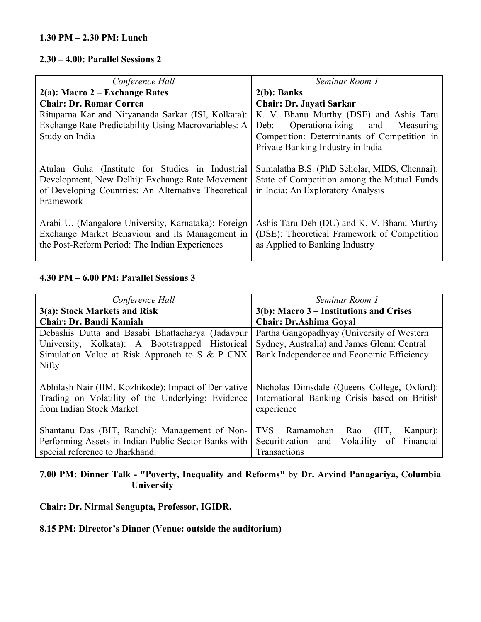#### **1.30 PM – 2.30 PM: Lunch**

#### **2.30 – 4.00: Parallel Sessions 2**

| Conference Hall                                                                                                                                                         | Seminar Room 1                                                                                                                   |  |
|-------------------------------------------------------------------------------------------------------------------------------------------------------------------------|----------------------------------------------------------------------------------------------------------------------------------|--|
| $2(a)$ : Macro 2 – Exchange Rates                                                                                                                                       | $2(b)$ : Banks                                                                                                                   |  |
| <b>Chair: Dr. Romar Correa</b>                                                                                                                                          | Chair: Dr. Jayati Sarkar                                                                                                         |  |
| Rituparna Kar and Nityananda Sarkar (ISI, Kolkata):<br>Exchange Rate Predictability Using Macrovariables: A                                                             | K. V. Bhanu Murthy (DSE) and Ashis Taru<br>Operationalizing and Measuring<br>Deb:                                                |  |
| Study on India                                                                                                                                                          | Competition: Determinants of Competition in                                                                                      |  |
|                                                                                                                                                                         | Private Banking Industry in India                                                                                                |  |
| Atulan Guha (Institute for Studies in Industrial<br>Development, New Delhi): Exchange Rate Movement<br>of Developing Countries: An Alternative Theoretical<br>Framework | Sumalatha B.S. (PhD Scholar, MIDS, Chennai):<br>State of Competition among the Mutual Funds<br>in India: An Exploratory Analysis |  |
| Arabi U. (Mangalore University, Karnataka): Foreign<br>Exchange Market Behaviour and its Management in<br>the Post-Reform Period: The Indian Experiences                | Ashis Taru Deb (DU) and K. V. Bhanu Murthy<br>(DSE): Theoretical Framework of Competition<br>as Applied to Banking Industry      |  |

## **4.30 PM – 6.00 PM: Parallel Sessions 3**

| Conference Hall                                                                                                                       | Seminar Room 1                                                                                             |  |
|---------------------------------------------------------------------------------------------------------------------------------------|------------------------------------------------------------------------------------------------------------|--|
| 3(a): Stock Markets and Risk                                                                                                          | $3(b)$ : Macro 3 – Institutions and Crises                                                                 |  |
| <b>Chair: Dr. Bandi Kamiah</b>                                                                                                        | <b>Chair: Dr.Ashima Goyal</b>                                                                              |  |
| Debashis Dutta and Basabi Bhattacharya (Jadavpur                                                                                      | Partha Gangopadhyay (University of Western                                                                 |  |
| University, Kolkata): A Bootstrapped Historical                                                                                       | Sydney, Australia) and James Glenn: Central                                                                |  |
| Simulation Value at Risk Approach to S & P CNX                                                                                        | Bank Independence and Economic Efficiency                                                                  |  |
| Nifty                                                                                                                                 |                                                                                                            |  |
| Abhilash Nair (IIM, Kozhikode): Impact of Derivative<br>Trading on Volatility of the Underlying: Evidence<br>from Indian Stock Market | Nicholas Dimsdale (Queens College, Oxford):<br>International Banking Crisis based on British<br>experience |  |
| Shantanu Das (BIT, Ranchi): Management of Non-                                                                                        | Ramamohan<br>TVS.<br>Rao<br>(III,<br>Kanpur):                                                              |  |
| Performing Assets in Indian Public Sector Banks with                                                                                  | Financial<br>Securitization and<br>Volatility<br>of                                                        |  |
| special reference to Jharkhand.                                                                                                       | Transactions                                                                                               |  |

## **7.00 PM: Dinner Talk - "Poverty, Inequality and Reforms"** by **Dr. Arvind Panagariya, Columbia University**

## **Chair: Dr. Nirmal Sengupta, Professor, IGIDR.**

# **8.15 PM: Director's Dinner (Venue: outside the auditorium)**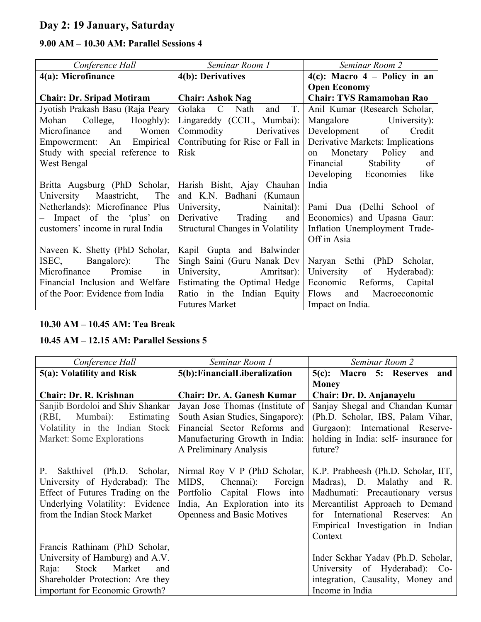# **Day 2: 19 January, Saturday**

# **9.00 AM – 10.30 AM: Parallel Sessions 4**

| Conference Hall                                          | Seminar Room 1                          | Seminar Room 2                    |
|----------------------------------------------------------|-----------------------------------------|-----------------------------------|
| 4(a): Microfinance                                       | 4(b): Derivatives                       | $4(c)$ : Macro $4$ – Policy in an |
|                                                          |                                         | <b>Open Economy</b>               |
| <b>Chair: Dr. Sripad Motiram</b>                         | <b>Chair: Ashok Nag</b>                 | <b>Chair: TVS Ramamohan Rao</b>   |
| Jyotish Prakash Basu (Raja Peary                         | T.<br>Golaka C Nath<br>and              | Anil Kumar (Research Scholar,     |
| Mohan College, Hooghly):                                 | Lingareddy (CCIL, Mumbai):              | Mangalore University):            |
| Microfinance and Women                                   | Commodity Derivatives                   | Development of Credit             |
| Empowerment: An Empirical                                | Contributing for Rise or Fall in        | Derivative Markets: Implications  |
| Study with special reference to                          | <b>Risk</b>                             | on Monetary Policy<br>and         |
| West Bengal                                              |                                         | Stability of<br>Financial         |
|                                                          |                                         | Developing Economies like         |
| Britta Augsburg (PhD Scholar, Harish Bisht, Ajay Chauhan |                                         | India                             |
| University Maastricht, The                               | and K.N. Badhani (Kumaun                |                                   |
| Netherlands): Microfinance Plus                          | University, Nainital):                  | Pami Dua (Delhi School of         |
| - Impact of the 'plus' on                                | Derivative Trading and                  | Economics) and Upasna Gaur:       |
| customers' income in rural India                         | <b>Structural Changes in Volatility</b> | Inflation Unemployment Trade-     |
|                                                          |                                         | Off in Asia                       |
| Naveen K. Shetty (PhD Scholar,                           | Kapil Gupta and Balwinder               |                                   |
| Bangalore): The<br>ISEC,                                 | Singh Saini (Guru Nanak Dev             | Naryan Sethi (PhD<br>Scholar,     |
| Microfinance Promise in                                  | University, Amritsar):                  | University of Hyderabad):         |
| Financial Inclusion and Welfare                          | Estimating the Optimal Hedge            | Economic<br>Reforms, Capital      |
| of the Poor: Evidence from India                         | Ratio in the Indian Equity              | Flows and Macroeconomic           |
|                                                          | <b>Futures Market</b>                   | Impact on India.                  |

# **10.30 AM – 10.45 AM: Tea Break**

# **10.45 AM – 12.15 AM: Parallel Sessions 5**

| Conference Hall                         | Seminar Room 1                    | Seminar Room 2                        |
|-----------------------------------------|-----------------------------------|---------------------------------------|
| 5(a): Volatility and Risk               | 5(b): Financial Liberalization    | 5(c): Macro 5: Reserves<br>and        |
|                                         |                                   | <b>Money</b>                          |
| Chair: Dr. R. Krishnan                  | <b>Chair: Dr. A. Ganesh Kumar</b> | Chair: Dr. D. Anjanayelu              |
| Sanjib Bordoloi and Shiv Shankar        | Jayan Jose Thomas (Institute of   | Sanjay Shegal and Chandan Kumar       |
| (RBI, Mumbai): Estimating               | South Asian Studies, Singapore):  | (Ph.D. Scholar, IBS, Palam Vihar,     |
| Volatility in the Indian Stock          | Financial Sector Reforms and      | Gurgaon): International Reserve-      |
| Market: Some Explorations               | Manufacturing Growth in India:    | holding in India: self- insurance for |
|                                         | A Preliminary Analysis            | future?                               |
|                                         |                                   |                                       |
| Sakthivel (Ph.D. Scholar,<br><b>P</b> . | Nirmal Roy V P (PhD Scholar,      | K.P. Prabheesh (Ph.D. Scholar, IIT,   |
| University of Hyderabad): The           | MIDS,<br>Chennai):<br>Foreign     | Madras), D. Malathy and R.            |
| Effect of Futures Trading on the        | Portfolio Capital Flows into      | Madhumati: Precautionary versus       |
| Underlying Volatility: Evidence         | India, An Exploration into its    | Mercantilist Approach to Demand       |
| from the Indian Stock Market            | <b>Openness and Basic Motives</b> | for International Reserves: An        |
|                                         |                                   | Empirical Investigation in Indian     |
|                                         |                                   | Context                               |
| Francis Rathinam (PhD Scholar,          |                                   |                                       |
| University of Hamburg) and A.V.         |                                   | Inder Sekhar Yadav (Ph.D. Scholar,    |
| Stock Market<br>Raja:<br>and            |                                   | University of Hyderabad): Co-         |
| Shareholder Protection: Are they        |                                   | integration, Causality, Money and     |
| important for Economic Growth?          |                                   | Income in India                       |